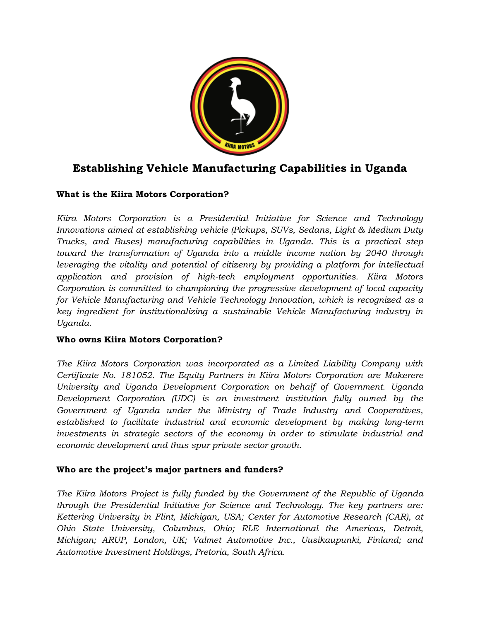

# **Establishing Vehicle Manufacturing Capabilities in Uganda**

## **What is the Kiira Motors Corporation?**

*Kiira Motors Corporation is a Presidential Initiative for Science and Technology Innovations aimed at establishing vehicle (Pickups, SUVs, Sedans, Light & Medium Duty Trucks, and Buses) manufacturing capabilities in Uganda. This is a practical step toward the transformation of Uganda into a middle income nation by 2040 through leveraging the vitality and potential of citizenry by providing a platform for intellectual application and provision of high-tech employment opportunities. Kiira Motors Corporation is committed to championing the progressive development of local capacity for Vehicle Manufacturing and Vehicle Technology Innovation, which is recognized as a key ingredient for institutionalizing a sustainable Vehicle Manufacturing industry in Uganda.* 

#### **Who owns Kiira Motors Corporation?**

*The Kiira Motors Corporation was incorporated as a Limited Liability Company with Certificate No. 181052. The Equity Partners in Kiira Motors Corporation are Makerere University and Uganda Development Corporation on behalf of Government. Uganda Development Corporation (UDC) is an investment institution fully owned by the Government of Uganda under the Ministry of Trade Industry and Cooperatives, established to facilitate industrial and economic development by making long-term investments in strategic sectors of the economy in order to stimulate industrial and economic development and thus spur private sector growth.*

## **Who are the project's major partners and funders?**

*The Kiira Motors Project is fully funded by the Government of the Republic of Uganda through the Presidential Initiative for Science and Technology. The key partners are: Kettering University in Flint, Michigan, USA; Center for Automotive Research (CAR), at Ohio State University, Columbus, Ohio; RLE International the Americas, Detroit, Michigan; ARUP, London, UK; Valmet Automotive Inc., Uusikaupunki, Finland; and Automotive Investment Holdings, Pretoria, South Africa.*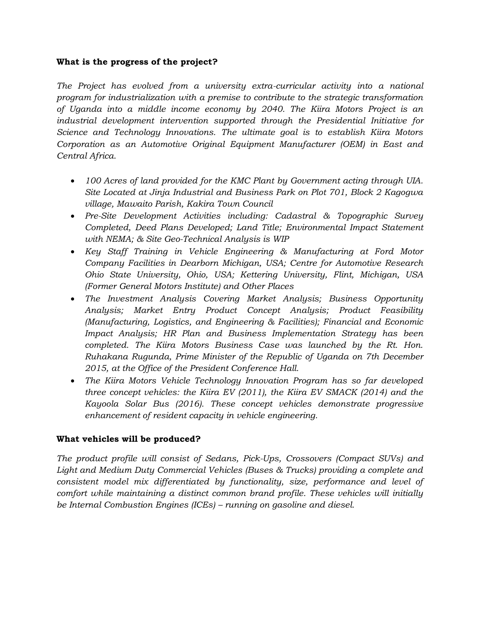#### **What is the progress of the project?**

*The Project has evolved from a university extra-curricular activity into a national program for industrialization with a premise to contribute to the strategic transformation of Uganda into a middle income economy by 2040. The Kiira Motors Project is an industrial development intervention supported through the Presidential Initiative for Science and Technology Innovations. The ultimate goal is to establish Kiira Motors Corporation as an Automotive Original Equipment Manufacturer (OEM) in East and Central Africa.* 

- *100 Acres of land provided for the KMC Plant by Government acting through UIA. Site Located at Jinja Industrial and Business Park on Plot 701, Block 2 Kagogwa village, Mawaito Parish, Kakira Town Council*
- *Pre-Site Development Activities including: Cadastral & Topographic Survey Completed, Deed Plans Developed; Land Title; Environmental Impact Statement with NEMA; & Site Geo-Technical Analysis is WIP*
- *Key Staff Training in Vehicle Engineering & Manufacturing at Ford Motor Company Facilities in Dearborn Michigan, USA; Centre for Automotive Research Ohio State University, Ohio, USA; Kettering University, Flint, Michigan, USA (Former General Motors Institute) and Other Places*
- *The Investment Analysis Covering Market Analysis; Business Opportunity Analysis; Market Entry Product Concept Analysis; Product Feasibility (Manufacturing, Logistics, and Engineering & Facilities); Financial and Economic Impact Analysis; HR Plan and Business Implementation Strategy has been completed. The Kiira Motors Business Case was launched by the Rt. Hon. Ruhakana Rugunda, Prime Minister of the Republic of Uganda on 7th December 2015, at the Office of the President Conference Hall.*
- *The Kiira Motors Vehicle Technology Innovation Program has so far developed three concept vehicles: the Kiira EV (2011), the Kiira EV SMACK (2014) and the Kayoola Solar Bus (2016). These concept vehicles demonstrate progressive enhancement of resident capacity in vehicle engineering.*

#### **What vehicles will be produced?**

*The product profile will consist of Sedans, Pick-Ups, Crossovers (Compact SUVs) and Light and Medium Duty Commercial Vehicles (Buses & Trucks) providing a complete and consistent model mix differentiated by functionality, size, performance and level of comfort while maintaining a distinct common brand profile. These vehicles will initially be Internal Combustion Engines (ICEs) – running on gasoline and diesel.*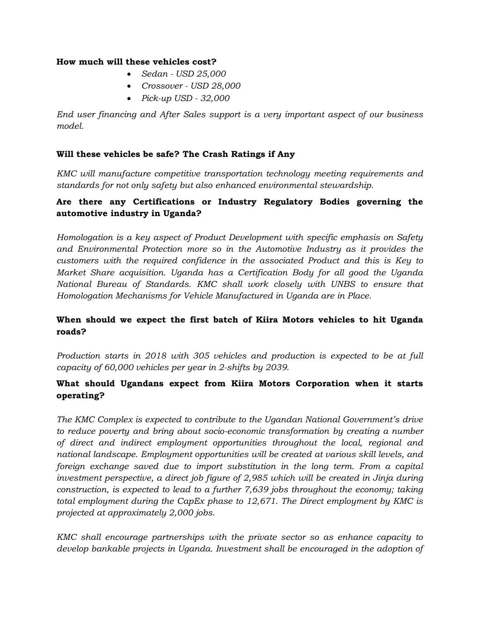#### **How much will these vehicles cost?**

- *Sedan - USD 25,000*
- *Crossover - USD 28,000*
- *Pick-up USD - 32,000*

*End user financing and After Sales support is a very important aspect of our business model.* 

#### **Will these vehicles be safe? The Crash Ratings if Any**

*KMC will manufacture competitive transportation technology meeting requirements and standards for not only safety but also enhanced environmental stewardship.* 

## **Are there any Certifications or Industry Regulatory Bodies governing the automotive industry in Uganda?**

*Homologation is a key aspect of Product Development with specific emphasis on Safety and Environmental Protection more so in the Automotive Industry as it provides the customers with the required confidence in the associated Product and this is Key to Market Share acquisition. Uganda has a Certification Body for all good the Uganda National Bureau of Standards. KMC shall work closely with UNBS to ensure that Homologation Mechanisms for Vehicle Manufactured in Uganda are in Place.* 

## **When should we expect the first batch of Kiira Motors vehicles to hit Uganda roads?**

*Production starts in 2018 with 305 vehicles and production is expected to be at full capacity of 60,000 vehicles per year in 2-shifts by 2039.* 

## **What should Ugandans expect from Kiira Motors Corporation when it starts operating?**

*The KMC Complex is expected to contribute to the Ugandan National Government's drive to reduce poverty and bring about socio-economic transformation by creating a number of direct and indirect employment opportunities throughout the local, regional and national landscape. Employment opportunities will be created at various skill levels, and foreign exchange saved due to import substitution in the long term. From a capital investment perspective, a direct job figure of 2,985 which will be created in Jinja during construction, is expected to lead to a further 7,639 jobs throughout the economy; taking total employment during the CapEx phase to 12,671. The Direct employment by KMC is projected at approximately 2,000 jobs.* 

*KMC shall encourage partnerships with the private sector so as enhance capacity to develop bankable projects in Uganda. Investment shall be encouraged in the adoption of*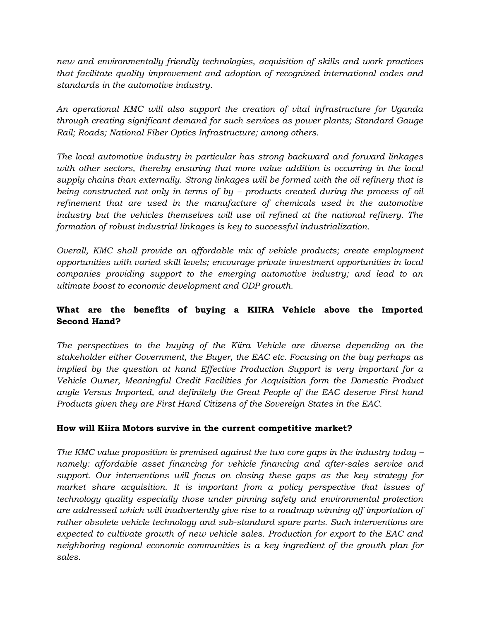*new and environmentally friendly technologies, acquisition of skills and work practices that facilitate quality improvement and adoption of recognized international codes and standards in the automotive industry.* 

*An operational KMC will also support the creation of vital infrastructure for Uganda through creating significant demand for such services as power plants; Standard Gauge Rail; Roads; National Fiber Optics Infrastructure; among others.* 

*The local automotive industry in particular has strong backward and forward linkages with other sectors, thereby ensuring that more value addition is occurring in the local supply chains than externally. Strong linkages will be formed with the oil refinery that is being constructed not only in terms of by – products created during the process of oil refinement that are used in the manufacture of chemicals used in the automotive industry but the vehicles themselves will use oil refined at the national refinery. The formation of robust industrial linkages is key to successful industrialization.*

*Overall, KMC shall provide an affordable mix of vehicle products; create employment opportunities with varied skill levels; encourage private investment opportunities in local companies providing support to the emerging automotive industry; and lead to an ultimate boost to economic development and GDP growth.*

# **What are the benefits of buying a KIIRA Vehicle above the Imported Second Hand?**

*The perspectives to the buying of the Kiira Vehicle are diverse depending on the stakeholder either Government, the Buyer, the EAC etc. Focusing on the buy perhaps as implied by the question at hand Effective Production Support is very important for a Vehicle Owner, Meaningful Credit Facilities for Acquisition form the Domestic Product angle Versus Imported, and definitely the Great People of the EAC deserve First hand Products given they are First Hand Citizens of the Sovereign States in the EAC.* 

## **How will Kiira Motors survive in the current competitive market?**

*The KMC value proposition is premised against the two core gaps in the industry today – namely: affordable asset financing for vehicle financing and after-sales service and support. Our interventions will focus on closing these gaps as the key strategy for*  market share acquisition. It is important from a policy perspective that issues of *technology quality especially those under pinning safety and environmental protection are addressed which will inadvertently give rise to a roadmap winning off importation of rather obsolete vehicle technology and sub-standard spare parts. Such interventions are expected to cultivate growth of new vehicle sales. Production for export to the EAC and neighboring regional economic communities is a key ingredient of the growth plan for sales.*